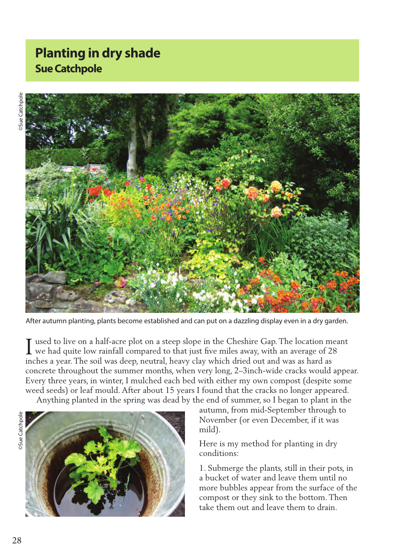## **Planting in dry shade Sue Catchpole**



After autumn planting, plants become established and can put on a dazzling display even in a dry garden.

used to live on a half-acre plot on a steep slope in the Cheshire Gap. The location meant I used to live on a half-acre plot on a steep slope in the Cheshire Gap. The location mea<br>we had quite low rainfall compared to that just five miles away, with an average of 28 inches a year. The soil was deep, neutral, heavy clay which dried out and was as hard as concrete throughout the summer months, when very long, 2–3inch-wide cracks would appear. Every three years, in winter, I mulched each bed with either my own compost (despite some weed seeds) or leaf mould. After about 15 years I found that the cracks no longer appeared. Anything planted in the spring was dead by the end of summer, so I began to plant in the

**Sue Catchpole** ©Sue Catchpole



autumn, from mid-September through to November (or even December, if it was mild).

Here is my method for planting in dry conditions:

1. Submerge the plants, still in their pots, in a bucket of water and leave them until no more bubbles appear from the surface of the compost or they sink to the bottom. Then take them out and leave them to drain.